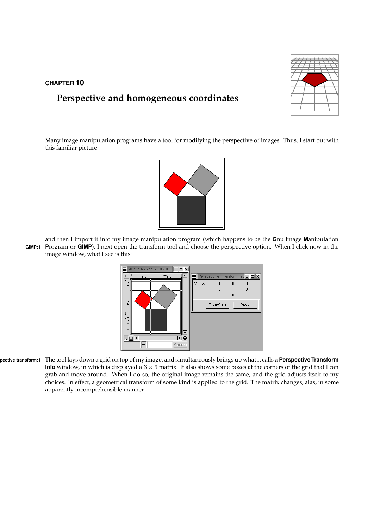# Perspective and homogeneous coordinates

CHAPTER 10

Many image manipulation programs have a tool for modifying the perspective of images. Thus, I start out with this familiar picture



and then I import it into my image manipulation program (which happens to be the Gnu Image Manipulation GIMP:1 Program or GIMP). I next open the transform tool and choose the perspective option. When I click now in the image window, what I see is this:



pective transform:1 The tool lays down a grid on top of my image, and simultaneously brings up what it calls a Perspective Transform **Info** window, in which is displayed a  $3 \times 3$  matrix. It also shows some boxes at the corners of the grid that I can grab and move around. When I do so, the original image remains the same, and the grid adjusts itself to my choices. In effect, a geometrical transform of some kind is applied to the grid. The matrix changes, alas, in some apparently incomprehensible manner.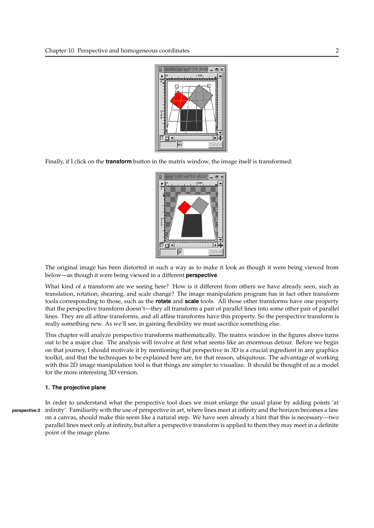

Finally, if I click on the **transform** button in the matrix window, the image itself is transformed:



The original image has been distorted in such a way as to make it look as though it were being viewed from below—as though it were being viewed in a different perspective.

What kind of a transform are we seeing here? How is it different from others we have already seen, such as translation, rotation, shearing, and scale change? The image manipulation program has in fact other transform tools corresponding to those, such as the rotate and scale tools. All those other transforms have one property that the perspective transform doesn't—they all transform a pair of parallel lines into some other pair of parallel lines. They are all affine transforms, and all affine transforms have this property. So the perspective transform is really something new. As we'll see, in gaining flexibility we must sacrifice something else.

This chapter will analyze perspective transforms mathematically. The matrix window in the figures above turns out to be a major clue. The analysis will involve at first what seems like an enormous detour. Before we begin on that journey, I should motivate it by mentioning that perspective in 3D is a crucial ingredient in any graphics toolkit, and that the techniques to be explained here are, for that reason, ubiquitous. The advantage of working with this 2D image manipulation tool is that things are simpler to visualize. It should be thought of as a model for the more interesting 3D version.

# 1. The projective plane

In order to understand what the perspective tool does we must enlarge the usual plane by adding points 'at perspective:2 infinity'. Familiarity with the use of perspective in art, where lines meet at infinity and the horizon becomes a line on a canvas, should make this seem like a natural step. We have seen already a hint that this is necessary—two parallel lines meet only at infinity, but after a perspective transform is applied to them they may meet in a definite point of the image plane.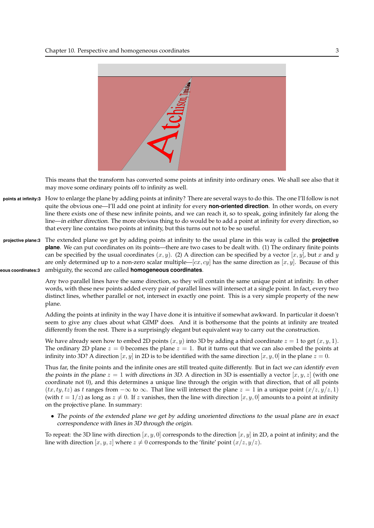

This means that the transform has converted some points at infinity into ordinary ones. We shall see also that it may move some ordinary points off to infinity as well.

- points at infinity:3 How to enlarge the plane by adding points at infinity? There are several ways to do this. The one I'll follow is not quite the obvious one—I'll add one point at infinity for every non-oriented direction. In other words, on every line there exists one of these new infinite points, and we can reach it, so to speak, going infinitely far along the line—in either direction. The more obvious thing to do would be to add a point at infinity for every direction, so that every line contains two points at infinity, but this turns out not to be so useful.
- projective plane:3 The extended plane we get by adding points at infinity to the usual plane in this way is called the **projective** plane. We can put coordinates on its points—there are two cases to be dealt with. (1) The ordinary finite points can be specified by the usual coordinates  $(x, y)$ . (2) A direction can be specified by a vector  $[x, y]$ , but x and y are only determined up to a non-zero scalar multiple—[cx, cy] has the same direction as [x, y]. Because of this eous coordinates:3 ambiguity, the second are called homogeneous coordinates.

Any two parallel lines have the same direction, so they will contain the same unique point at infinity. In other words, with these new points added every pair of parallel lines will intersect at a single point. In fact, every two distinct lines, whether parallel or not, intersect in exactly one point. This is a very simple property of the new plane.

Adding the points at infinity in the way I have done it is intuitive if somewhat awkward. In particular it doesn't seem to give any clues about what GIMP does. And it is bothersome that the points at infinity are treated differently from the rest. There is a surprisingly elegant but equivalent way to carry out the construction.

We have already seen how to embed 2D points  $(x, y)$  into 3D by adding a third coordinate  $z = 1$  to get  $(x, y, 1)$ . The ordinary 2D plane  $z = 0$  becomes the plane  $z = 1$ . But it turns out that we can also embed the points at infinity into 3D? A direction  $[x, y]$  in 2D is to be identified with the same direction  $[x, y, 0]$  in the plane  $z = 0$ .

Thus far, the finite points and the infinite ones are still treated quite differently. But in fact we can identify even the points in the plane  $z = 1$  with directions in 3D. A direction in 3D is essentially a vector  $[x, y, z]$  (with one coordinate not 0), and this determines a unique line through the origin with that direction, that of all points  $(tx, ty, tz)$  as t ranges from  $-\infty$  to  $\infty$ . That line will intersect the plane  $z = 1$  in a unique point  $(x/z, y/z, 1)$ (with  $t = 1/z$ ) as long as  $z \neq 0$ . If z vanishes, then the line with direction [x, y, 0] amounts to a point at infinity on the projective plane. In summary:

• The points of the extended plane we get by adding unoriented directions to the usual plane are in exact correspondence with lines in 3D through the origin.

To repeat: the 3D line with direction  $[x, y, 0]$  corresponds to the direction  $[x, y]$  in 2D, a point at infinity; and the line with direction  $[x, y, z]$  where  $z \neq 0$  corresponds to the 'finite' point  $(x/z, y/z)$ .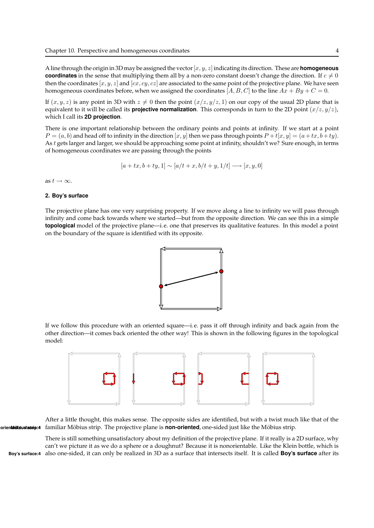A line through the origin in 3D may be assigned the vector  $[x, y, z]$  indicating its direction. These are **homogeneous coordinates** in the sense that multiplying them all by a non-zero constant doesn't change the direction. If  $c \neq 0$ then the coordinates [x, y, z] and [cx, cy, cz] are associated to the same point of the projective plane. We have seen homogeneous coordinates before, when we assigned the coordinates  $[A, B, C]$  to the line  $Ax + By + C = 0$ .

If  $(x, y, z)$  is any point in 3D with  $z \neq 0$  then the point  $(x/z, y/z, 1)$  on our copy of the usual 2D plane that is equivalent to it will be called its **projective normalization**. This corresponds in turn to the 2D point  $(x/z, y/z)$ , which I call its 2D projection.

There is one important relationship between the ordinary points and points at infinity. If we start at a point  $P = (a, b)$  and head off to infinity in the direction [x, y] then we pass through points  $P + t[x, y] = (a + tx, b + ty)$ . As t gets larger and larger, we should be approaching some point at infinity, shouldn't we? Sure enough, in terms of homogeneous coordinates we are passing through the points

$$
[a+tx, b+ty, 1] \sim [a/t+x, b/t+y, 1/t] \longrightarrow [x, y, 0]
$$

as  $t \to \infty$ .

## 2. Boy's surface

The projective plane has one very surprising property. If we move along a line to infinity we will pass through infinity and come back towards where we started—but from the opposite direction. We can see this in a simple topological model of the projective plane—i.e. one that preserves its qualitative features. In this model a point on the boundary of the square is identified with its opposite.



If we follow this procedure with an oriented square—i.e. pass it off through infinity and back again from the other direction—it comes back oriented the other way! This is shown in the following figures in the topological model:



After a little thought, this makes sense. The opposite sides are identified, but with a twist much like that of the oriented surfaces:4 familiar Möbius strip. The projective plane is non-oriented, one-sided just like the Möbius strip.

There is still something unsatisfactory about my definition of the projective plane. If it really is a 2D surface, why can't we picture it as we do a sphere or a doughnut? Because it is nonorientable. Like the Klein bottle, which is Boy's surface:4 also one-sided, it can only be realized in 3D as a surface that intersects itself. It is called Boy's surface after its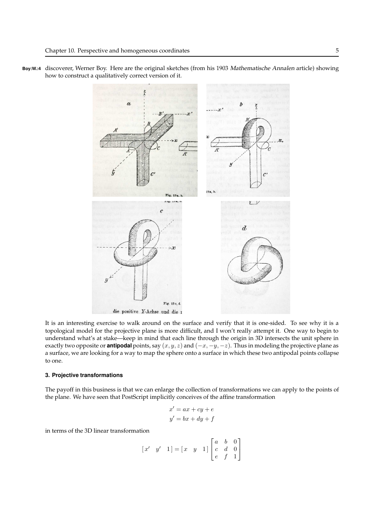

Boy:W.:4 discoverer, Werner Boy. Here are the original sketches (from his 1903 Mathematische Annalen article) showing how to construct a qualitatively correct version of it.

It is an interesting exercise to walk around on the surface and verify that it is one-sided. To see why it is a topological model for the projective plane is more difficult, and I won't really attempt it. One way to begin to understand what's at stake—keep in mind that each line through the origin in 3D intersects the unit sphere in exactly two opposite or **antipodal** points, say  $(x, y, z)$  and  $(-x, -y, -z)$ . Thus in modeling the projective plane as a surface, we are looking for a way to map the sphere onto a surface in which these two antipodal points collapse to one.

## 3. Projective transformations

The payoff in this business is that we can enlarge the collection of transformations we can apply to the points of the plane. We have seen that PostScript implicitly conceives of the affine transformation

$$
x' = ax + cy + e
$$

$$
y' = bx + dy + f
$$

in terms of the 3D linear transformation

$$
\begin{bmatrix} x' & y' & 1 \end{bmatrix} = \begin{bmatrix} x & y & 1 \end{bmatrix} \begin{bmatrix} a & b & 0 \\ c & d & 0 \\ e & f & 1 \end{bmatrix}
$$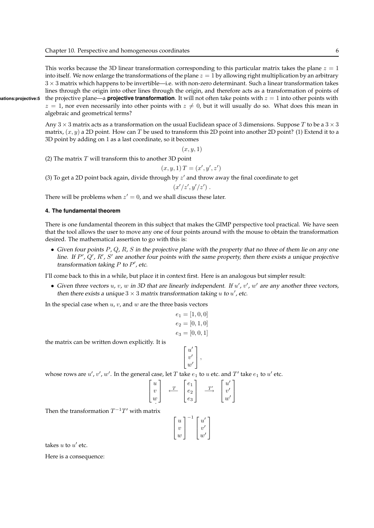This works because the 3D linear transformation corresponding to this particular matrix takes the plane  $z = 1$ into itself. We now enlarge the transformations of the plane  $z = 1$  by allowing right multiplication by an arbitrary  $3 \times 3$  matrix which happens to be invertible—i.e. with non-zero determinant. Such a linear transformation takes lines through the origin into other lines through the origin, and therefore acts as a transformation of points of **nations: projective:5** the projective plane—a **projective transformation**. It will not often take points with  $z = 1$  into other points with  $z = 1$ , nor even necessarily into other points with  $z \neq 0$ , but it will usually do so. What does this mean in algebraic and geometrical terms?

> Any  $3 \times 3$  matrix acts as a transformation on the usual Euclidean space of 3 dimensions. Suppose T to be a  $3 \times 3$ matrix,  $(x, y)$  a 2D point. How can T be used to transform this 2D point into another 2D point? (1) Extend it to a 3D point by adding on 1 as a last coordinate, so it becomes

> > $(x, y, 1)$

(2) The matrix  $T$  will transform this to another 3D point

$$
(x, y, 1)T = (x', y', z')
$$

(3) To get a 2D point back again, divide through by  $z'$  and throw away the final coordinate to get

$$
(x'/z',y'/z')\;.
$$

There will be problems when  $z' = 0$ , and we shall discuss these later.

## 4. The fundamental theorem

There is one fundamental theorem in this subject that makes the GIMP perspective tool practical. We have seen that the tool allows the user to move any one of four points around with the mouse to obtain the transformation desired. The mathematical assertion to go with this is:

• Given four points  $P$ ,  $Q$ ,  $R$ ,  $S$  in the projective plane with the property that no three of them lie on any one line. If P',  $Q'$ , R', S' are another four points with the same property, then there exists a unique projective transformation taking  $P$  to  $P'$ , etc.

I'll come back to this in a while, but place it in context first. Here is an analogous but simpler result:

• Given three vectors  $u$ ,  $v$ ,  $w$  in 3D that are linearly independent. If  $u'$ ,  $v'$ ,  $w'$  are any another three vectors, then there exists a unique  $3 \times 3$  matrix transformation taking  $u$  to  $u'$ , etc.

In the special case when  $u$ ,  $v$ , and  $w$  are the three basis vectors

$$
e_1 = [1, 0, 0]
$$
  

$$
e_2 = [0, 1, 0]
$$
  

$$
e_3 = [0, 0, 1]
$$

the matrix can be written down explicitly. It is

$$
\begin{bmatrix} u' \\ v' \\ w' \end{bmatrix},
$$

whose rows are  $u'$ ,  $v'$ ,  $w'$ . In the general case, let  $T$  take  $e_1$  to  $u$  etc. and  $T'$  take  $e_1$  to  $u'$  etc.

 $\sqrt{ }$  $\overline{1}$ 

$$
\begin{array}{c} u \\ v \\ w \end{array} \quad \begin{array}{c} T \\ \leftarrow \\ \begin{array}{c} e_1 \\ e_2 \\ e_3 \end{array} \end{array} \quad \begin{array}{c} T' \\ \longrightarrow \\ \begin{array}{c} u' \\ v' \\ w' \end{array} \end{array}
$$

Then the transformation  $T^{-1}T'$  with matrix

$$
\begin{bmatrix} u \\ v \\ w \end{bmatrix}^{-1} \begin{bmatrix} u' \\ v' \\ w' \end{bmatrix}
$$

takes  $u$  to  $u'$  etc.

Here is a consequence: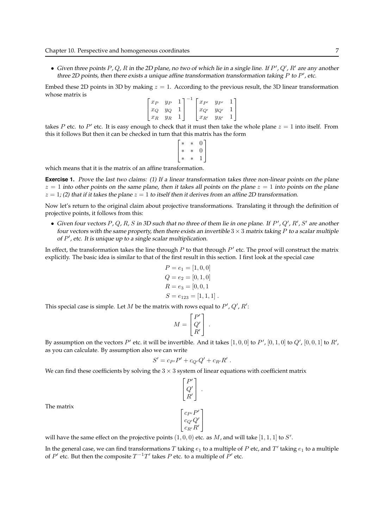• Given three points P, Q, R in the 2D plane, no two of which lie in a single line. If  $P'$ , Q', R' are any another three 2D points, then there exists a unique affine transformation transformation taking P to P', etc.

Embed these 2D points in 3D by making  $z = 1$ . According to the previous result, the 3D linear transformation whose matrix is

$$
\begin{bmatrix} x_P & y_P & 1 \\ x_Q & y_Q & 1 \\ x_R & y_R & 1 \end{bmatrix}^{-1} \begin{bmatrix} x_{P'} & y_{P'} & 1 \\ x_{Q'} & y_{Q'} & 1 \\ x_{R'} & y_{R'} & 1 \end{bmatrix}
$$

takes P etc. to P' etc. It is easy enough to check that it must then take the whole plane  $z = 1$  into itself. From this it follows But then it can be checked in turn that this matrix has the form

$$
\begin{bmatrix} * & * & 0 \\ * & * & 0 \\ * & * & 1 \end{bmatrix}
$$

which means that it is the matrix of an affine transformation.

**Exercise 1.** Prove the last two claims: (1) If a linear transformation takes three non-linear points on the plane  $z = 1$  into other points on the same plane, then it takes all points on the plane  $z = 1$  into points on the plane  $z = 1$ ; (2) that if it takes the plane  $z = 1$  to itself then it derives from an affine 2D transformation.

Now let's return to the original claim about projective transformations. Translating it through the definition of projective points, it follows from this:

• Given four vectors  $P$ ,  $Q$ ,  $R$ ,  $S$  in 3D such that no three of them lie in one plane. If  $P'$ ,  $Q'$ ,  $R'$ ,  $S'$  are another four vectors with the same property, then there exists an invertible  $3 \times 3$  matrix taking P to a scalar multiple of  $P'$ , etc. It is unique up to a single scalar multiplication.

In effect, the transformation takes the line through  $P$  to that through  $P'$  etc. The proof will construct the matrix explicitly. The basic idea is similar to that of the first result in this section. I first look at the special case

$$
P = e_1 = [1, 0, 0]
$$
  
\n
$$
Q = e_2 = [0, 1, 0]
$$
  
\n
$$
R = e_3 = [0, 0, 1]
$$
  
\n
$$
S = e_{123} = [1, 1, 1].
$$

This special case is simple. Let M be the matrix with rows equal to  $P', Q', R'$ :

$$
M = \begin{bmatrix} P' \\ Q' \\ R' \end{bmatrix} \; .
$$

By assumption on the vectors  $P'$  etc. it will be invertible. And it takes  $[1,0,0]$  to  $P'$ ,  $[0,1,0]$  to  $Q'$ ,  $[0,0,1]$  to  $R'$ , as you can calculate. By assumption also we can write

$$
S' = c_{P'}P' + c_{Q'}Q' + c_{R'}R'.
$$

We can find these coefficients by solving the  $3 \times 3$  system of linear equations with coefficient matrix

$$
\begin{bmatrix} P' \\ Q' \\ R' \end{bmatrix}.
$$

$$
\begin{bmatrix} c_{P'}P' \\ c_{Q'}Q' \\ c_{R'}R' \end{bmatrix}
$$

The matrix

will have the same effect on the projective points  $(1, 0, 0)$  etc. as M, and will take  $[1, 1, 1]$  to  $S'$ .

In the general case, we can find transformations  $T$  taking  $e_1$  to a multiple of  $P$  etc, and  $T'$  taking  $e_1$  to a multiple of  $P'$  etc. But then the composite  $T^{-1}T'$  takes  $P$  etc. to a multiple of  $P'$  etc.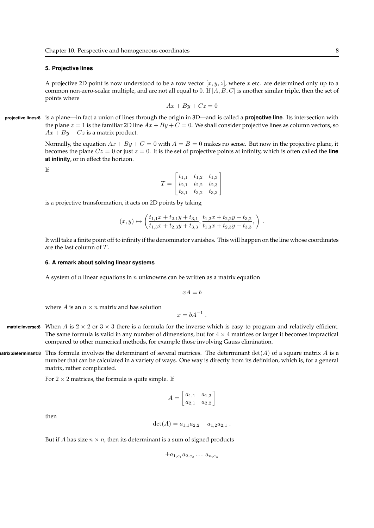## 5. Projective lines

A projective 2D point is now understood to be a row vector  $[x, y, z]$ , where x etc. are determined only up to a common non-zero-scalar multiple, and are not all equal to 0. If  $[A, B, C]$  is another similar triple, then the set of points where

$$
Ax + By + Cz = 0
$$

projective lines:8 is a plane—in fact a union of lines through the origin in 3D—and is called a **projective line**. Its intersection with the plane  $z = 1$  is the familiar 2D line  $Ax + By + C = 0$ . We shall consider projective lines as column vectors, so  $Ax + By + Cz$  is a matrix product.

> Normally, the equation  $Ax + By + C = 0$  with  $A = B = 0$  makes no sense. But now in the projective plane, it becomes the plane  $Cz = 0$  or just  $z = 0$ . It is the set of projective points at infinity, which is often called the line at infinity, or in effect the horizon.

If

$$
T = \begin{bmatrix} t_{1,1} & t_{1,2} & t_{1,3} \\ t_{2,1} & t_{2,2} & t_{2,3} \\ t_{3,1} & t_{3,2} & t_{3,3} \end{bmatrix}
$$

is a projective transformation, it acts on 2D points by taking

$$
(x,y)\mapsto \left(\frac{t_{1,1}x+t_{2,1}y+t_{3,1}}{t_{1,3}x+t_{2,3}y+t_{3,3}}, \frac{t_{1,2}x+t_{2,2}y+t_{3,2}}{t_{1,3}x+t_{2,3}y+t_{3,3}}, \right)
$$

.

It will take a finite point off to infinity if the denominator vanishes. This will happen on the line whose coordinates are the last column of T.

### 6. A remark about solving linear systems

A system of  $n$  linear equations in  $n$  unknowns can be written as a matrix equation

$$
xA = b
$$

where A is an  $n \times n$  matrix and has solution

$$
x=bA^{-1}\;.
$$

- matrix: inverse: 8 When A is  $2 \times 2$  or  $3 \times 3$  there is a formula for the inverse which is easy to program and relatively efficient. The same formula is valid in any number of dimensions, but for  $4 \times 4$  matrices or larger it becomes impractical compared to other numerical methods, for example those involving Gauss elimination.
- natrix:determinant:8 This formula involves the determinant of several matrices. The determinant  $\det(A)$  of a square matrix  $A$  is a number that can be calculated in a variety of ways. One way is directly from its definition, which is, for a general matrix, rather complicated.

For  $2 \times 2$  matrices, the formula is quite simple. If

$$
A = \begin{bmatrix} a_{1,1} & a_{1,2} \\ a_{2,1} & a_{2,2} \end{bmatrix}
$$

then

$$
\det(A) = a_{1,1}a_{2,2} - a_{1,2}a_{2,1} .
$$

But if A has size  $n \times n$ , then its determinant is a sum of signed products

$$
\pm a_{1,c_1}a_{2,c_2}\ldots a_{n,c_n}
$$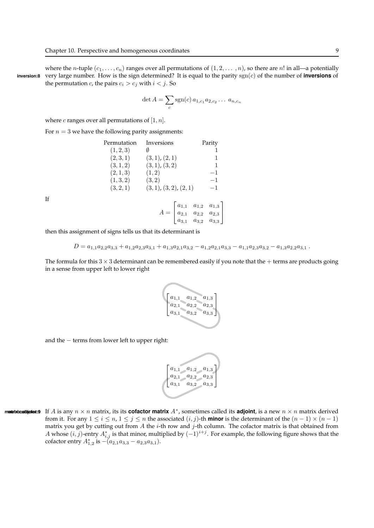where the *n*-tuple  $(c_1, \ldots, c_n)$  ranges over all permutations of  $(1, 2, \ldots, n)$ , so there are *n*! in all—a potentially inversion:8 very large number. How is the sign determined? It is equal to the parity  $sgn(c)$  of the number of inversions of the permutation *c*, the pairs  $c_i > c_j$  with  $i < j$ . So

$$
\det A = \sum_{c} \text{sgn}(c) \, a_{1,c_1} a_{2,c_2} \dots \, a_{n,c_n}
$$

where *c* ranges over all permutations of  $[1, n]$ .

For  $n = 3$  we have the following parity assignments:

| Permutation | Inversions                                                                                                                    | Parity |
|-------------|-------------------------------------------------------------------------------------------------------------------------------|--------|
| (1, 2, 3)   |                                                                                                                               |        |
| (2,3,1)     | (3,1), (2,1)                                                                                                                  | 1      |
| (3, 1, 2)   | (3,1), (3,2)                                                                                                                  | 1      |
| (2,1,3)     | (1, 2)                                                                                                                        | $-1$   |
| (1,3,2)     | (3,2)                                                                                                                         | $-1$   |
| (3, 2, 1)   | (3,1), (3,2), (2,1)                                                                                                           | $-1$   |
|             |                                                                                                                               |        |
|             |                                                                                                                               |        |
|             | $A = \begin{bmatrix} a_{1,1} & a_{1,2} & a_{1,3} \\ a_{2,1} & a_{2,2} & a_{2,3} \\ a_{3,1} & a_{3,2} & a_{3,3} \end{bmatrix}$ |        |
|             |                                                                                                                               |        |

If

then this assignment of signs tells us that its determinant is

 $D = a_{1,1}a_{2,2}a_{3,3} + a_{1,2}a_{2,3}a_{3,1} + a_{1,3}a_{2,1}a_{3,2} - a_{1,2}a_{2,1}a_{3,3} - a_{1,1}a_{2,3}a_{3,2} - a_{1,3}a_{2,2}a_{3,1}$ .

The formula for this  $3 \times 3$  determinant can be remembered easily if you note that the  $+$  terms are products going in a sense from upper left to lower right



and the − terms from lower left to upper right:

$$
\begin{bmatrix} a_{1,1} & a_{1,2} & a_{1,3} \\ a_{2,1} & a_{2,2} & a_{2,3} \\ a_{3,1} & a_{3,2} & a_{3,3} \end{bmatrix}
$$

**matrix contiguion is a** if A is any  $n \times n$  matrix, its its **cofactor matrix**  $A^*$ , sometimes called its **adjoint**, is a new  $n \times n$  matrix derived from it. For any  $1 \le i \le n$ ,  $1 \le j \le n$  the associated  $(i, j)$ -th **minor** is the determinant of the  $(n - 1) \times (n - 1)$ matrix you get by cutting out from  $A$  the  $i$ -th row and  $j$ -th column. The cofactor matrix is that obtained from A whose  $(i, j)$ -entry  $A_{i,j}^*$  is that minor, multiplied by  $(-1)^{i+j}$ . For example, the following figure shows that the cofactor entry  $A_{1,2}^*$  is  $-(a_{2,1}a_{3,3}-a_{2,3}a_{3,1}).$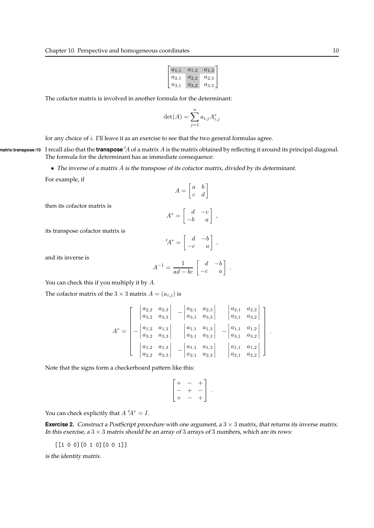| $a_{1,1}$ | $a\cdot$<br>$\overline{2}$ | $a_{1,3}$ |
|-----------|----------------------------|-----------|
| $a_{2,1}$ | $a_{2,2}$                  | $a_{2,3}$ |
| $a_{3,1}$ | 3.2                        | $a_{3,3}$ |

The cofactor matrix is involved in another formula for the determinant:

$$
\det(A) = \sum_{j=1}^{n} a_{i,j} A_{i,j}^*
$$

for any choice of i. I'll leave it as an exercise to see that the two general formulas agree.

matrix:transpose:10 I recall also that the transpose  ${}^t\!A$  of a matrix  $A$  is the matrix obtained by reflecting it around its principal diagonal. The formula for the determinant has as immediate consequence:

• The inverse of <sup>a</sup> matrix A is the transpose of its cofactor matrix, divided by its determinant.

For example, if

$$
A = \begin{bmatrix} a & b \\ c & d \end{bmatrix}
$$

$$
A^* = \begin{bmatrix} d & -c \\ -b & a \end{bmatrix},
$$

its transpose cofactor matrix is

then its cofactor matrix is

$$
{}^{t}A^* = \begin{bmatrix} d & -b \\ -c & a \end{bmatrix},
$$
  

$$
{}^{t}A^* = \frac{1}{\cdots} \begin{bmatrix} d & -d \\ d & -d \end{bmatrix}
$$

.

and its inverse is

$$
A^{-1} = \frac{1}{ad - bc} \begin{bmatrix} d & -b \\ -c & a \end{bmatrix}
$$

You can check this if you multiply it by A.

The cofactor matrix of the  $3 \times 3$  matrix  $A = (a_{i,j})$  is

$$
A^* = \begin{bmatrix} \begin{vmatrix} a_{2,2} & a_{2,3} \\ a_{3,2} & a_{3,3} \end{vmatrix} & -\begin{vmatrix} a_{2,1} & a_{2,3} \\ a_{3,1} & a_{3,3} \end{vmatrix} & \begin{vmatrix} a_{2,1} & a_{2,2} \\ a_{3,1} & a_{3,2} \end{vmatrix} \\ -\begin{vmatrix} a_{1,2} & a_{1,3} \\ a_{3,2} & a_{3,3} \end{vmatrix} & \begin{vmatrix} a_{1,1} & a_{1,3} \\ a_{3,1} & a_{3,3} \end{vmatrix} & -\begin{vmatrix} a_{1,1} & a_{1,2} \\ a_{3,1} & a_{3,2} \end{vmatrix} \\ \begin{vmatrix} a_{1,2} & a_{1,3} \\ a_{2,2} & a_{2,3} \end{vmatrix} & -\begin{vmatrix} a_{1,1} & a_{1,3} \\ a_{2,1} & a_{2,3} \end{vmatrix} & \begin{vmatrix} a_{1,1} & a_{1,2} \\ a_{2,1} & a_{2,2} \end{vmatrix} \end{bmatrix}.
$$

Note that the signs form a checkerboard pattern like this:

$$
\begin{bmatrix} + & - & + \\ - & + & - \\ + & - & + \end{bmatrix}.
$$

You can check explicitly that  $A^tA^* = I$ .

**Exercise 2.** Construct a PostScript procedure with one argument, a  $3 \times 3$  matrix, that returns its inverse matrix. In this exercise, a  $3 \times 3$  matrix should be an array of 3 arrays of 3 numbers, which are its rows:

[[1 0 0][0 1 0][0 0 1]]

is the identity matrix.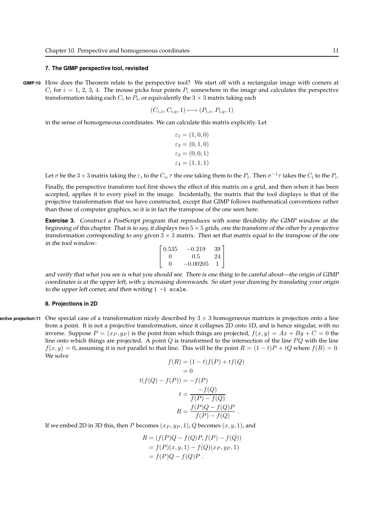## 7. The GIMP perspective tool, revisited

GIMP:10 How does the Theorem relate to the perspective tool? We start off with a rectangular image with corners at  $C_i$  for  $i = 1, 2, 3, 4$ . The mouse picks four points  $P_i$  somewhere in the image and calculates the perspective transformation taking each  $C_i$  to  $P_i$ , or equivalently the  $3 \times 3$  matrix taking each

$$
(C_{i,x}, C_{i,y}, 1) \longmapsto (P_{i,x}, P_{i,y}, 1)
$$

in the sense of homogeneous coordinates. We can calculate this matrix explicitly. Let

 $\varepsilon_1 = (1, 0, 0)$  $\varepsilon_2 = (0, 1, 0)$  $\varepsilon_3 = (0, 0, 1)$  $\varepsilon_4 = (1, 1, 1)$ 

Let  $\sigma$  be the  $3\times 3$  matrix taking the  $\varepsilon_i$  to the  $C_i$ ,  $\tau$  the one taking them to the  $P_i$ . Then  $\sigma^{-1}\tau$  takes the  $C_i$  to the  $P_i$ .

Finally, the perspective transform tool first shows the effect of this matrix on a grid, and then when it has been accepted, applies it to every pixel in the image. Incidentally, the matrix that the tool displays is that of the projective transformation that we have constructed, except that GIMP follows mathematical conventions rather than those of computer graphics, so it is in fact the transpose of the one seen here.

Exercise 3. Construct <sup>a</sup> PostScript program that reproduces with some flexibility the GIMP window at the beginning of this chapter. That is to say, it displays two  $5 \times 5$  grids, one the transform of the other by a projective transformation corresponding to any given  $3 \times 3$  matrix. Then set that matrix equal to the transpose of the one in the tool window:

$$
\begin{bmatrix} 0.535 & -0.219 & 39 \\ 0 & 0.5 & 24 \\ 0 & -0.00205 & 1 \end{bmatrix}
$$

and verify that what you see is what you should see. There is one thing to be careful about—the origin of GIMP coordinates is at the upper left, with y increasing downwards. So start your drawing by translating your origin to the upper left corner, and then writing  $1 - 1$  scale.

#### 8. Projections in 2D

ective projection:11 One special case of a transformation nicely described by  $3 \times 3$  homogeneous matrices is projection onto a line from a point. It is not a projective transformation, since it collapses 2D onto 1D, and is hence singular, with no inverse. Suppose  $P = (x_P, y_P)$  is the point from which things are projected,  $f(x, y) = Ax + By + C = 0$  the line onto which things are projected. A point  $Q$  is transformed to the intersection of the line  $PQ$  with the line  $f(x, y) = 0$ , assuming it is not parallel to that line. This will be the point  $R = (1 - t)P + tQ$  where  $f(R) = 0$ . We solve

$$
f(R) = (1-t)f(P) + tf(Q)
$$

$$
= 0
$$

$$
t(f(Q) - f(P)) = -f(P)
$$

$$
t = \frac{-f(Q)}{f(P) - f(Q)}
$$

$$
R = \frac{f(P)Q - f(Q)P}{f(P) - f(Q)}.
$$

If we embed 2D in 3D this, then P becomes  $(x_P, y_P, 1)$ , Q becomes  $(x, y, 1)$ , and

$$
R = (f(P)Q - f(Q)P, f(P) - f(Q))
$$
  
= f(P)(x, y, 1) - f(Q)(x<sub>P</sub>, y<sub>P</sub>, 1)  
= f(P)Q - f(Q)P.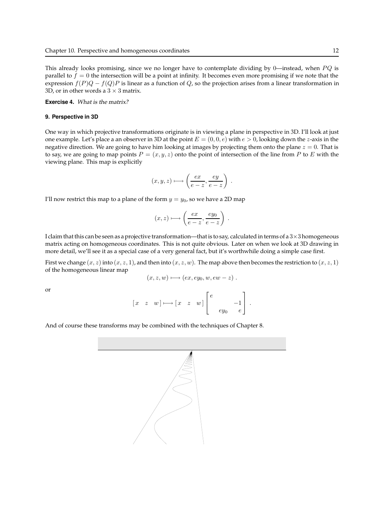This already looks promising, since we no longer have to contemplate dividing by  $0$ —instead, when  $PQ$  is parallel to  $f = 0$  the intersection will be a point at infinity. It becomes even more promising if we note that the expression  $f(P)Q - f(Q)P$  is linear as a function of Q, so the projection arises from a linear transformation in 3D, or in other words a  $3 \times 3$  matrix.

#### Exercise 4. What is the matrix?

#### 9. Perspective in 3D

One way in which projective transformations originate is in viewing a plane in perspective in 3D. I'll look at just one example. Let's place a an observer in 3D at the point  $E = (0, 0, e)$  with  $e > 0$ , looking down the z-axis in the negative direction. We are going to have him looking at images by projecting them onto the plane  $z = 0$ . That is to say, we are going to map points  $P = (x, y, z)$  onto the point of intersection of the line from P to E with the viewing plane. This map is explicitly

$$
(x,y,z)\longmapsto \left(\frac{ex}{e-z},\frac{ey}{e-z}\right) .
$$

I'll now restrict this map to a plane of the form  $y = y_0$ , so we have a 2D map

$$
(x,z)\longmapsto \left(\frac{ex}{e-z},\frac{ey_0}{e-z}\right) .
$$

I claim that this can be seen as a projective transformation—that is to say, calculated in terms of a  $3\times3$  homogeneous matrix acting on homogeneous coordinates. This is not quite obvious. Later on when we look at 3D drawing in more detail, we'll see it as a special case of a very general fact, but it's worthwhile doing a simple case first.

First we change  $(x, z)$  into  $(x, z, 1)$ , and then into  $(x, z, w)$ . The map above then becomes the restriction to  $(x, z, 1)$ of the homogeneous linear map

$$
(x, z, w) \longmapsto (ex, ey_0, w, ew - z) .
$$

or

$$
[x \ z \ w] \longmapsto [x \ z \ w] \begin{bmatrix} e \\ e \\ ey_0 \ e \end{bmatrix} .
$$

And of course these transforms may be combined with the techniques of Chapter 8.